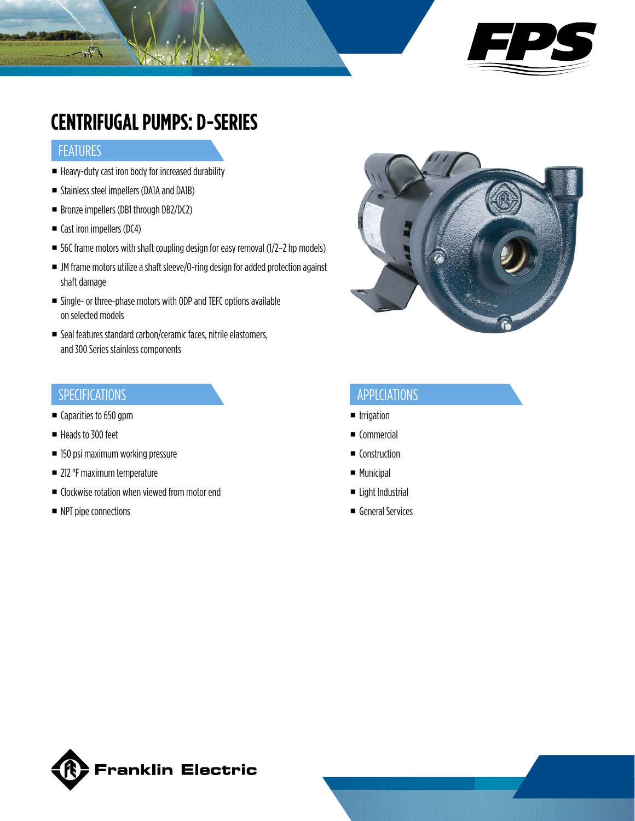

## **CENTRIFUGAL PUMPS: D-SERIES**

#### **FEATURES**

 $\mathcal{F}_{\text{sc}}$ 

- Heavy-duty cast iron body for increased durability
- **Stainless steel impellers (DA1A and DA1B)**
- Bronze impellers (DB1 through DB2/DC2)
- Cast iron impellers (DC4)
- $\blacksquare$  56C frame motors with shaft coupling design for easy removal (1/2-2 hp models)
- JM frame motors utilize a shaft sleeve/O-ring design for added protection against shaft damage
- Single- or three-phase motors with ODP and TEFC options available on selected models
- Seal features standard carbon/ceramic faces, nitrile elastomers, and 300 Series stainless components

#### SPECIFICATIONS

- Capacities to 650 gpm
- Heads to 300 feet
- 150 psi maximum working pressure
- 212 °F maximum temperature
- Clockwise rotation when viewed from motor end
- NPT pipe connections



#### APPLCIATIONS

- **Irrigation**
- Commercial
- Construction
- **Municipal**
- Light Industrial
- General Services